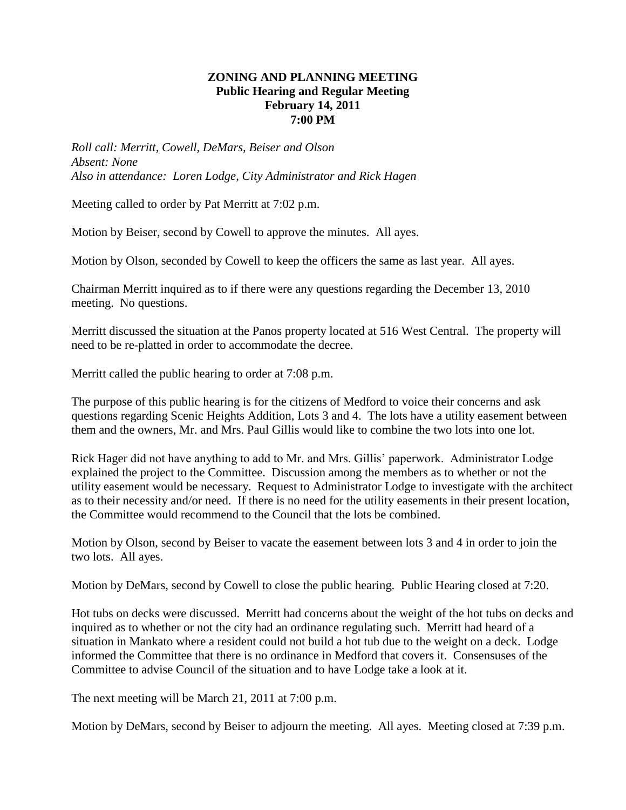# **ZONING AND PLANNING MEETING Public Hearing and Regular Meeting February 14, 2011 7:00 PM**

*Roll call: Merritt, Cowell, DeMars, Beiser and Olson Absent: None Also in attendance: Loren Lodge, City Administrator and Rick Hagen*

Meeting called to order by Pat Merritt at 7:02 p.m.

Motion by Beiser, second by Cowell to approve the minutes. All ayes.

Motion by Olson, seconded by Cowell to keep the officers the same as last year. All ayes.

Chairman Merritt inquired as to if there were any questions regarding the December 13, 2010 meeting. No questions.

Merritt discussed the situation at the Panos property located at 516 West Central. The property will need to be re-platted in order to accommodate the decree.

Merritt called the public hearing to order at 7:08 p.m.

The purpose of this public hearing is for the citizens of Medford to voice their concerns and ask questions regarding Scenic Heights Addition, Lots 3 and 4. The lots have a utility easement between them and the owners, Mr. and Mrs. Paul Gillis would like to combine the two lots into one lot.

Rick Hager did not have anything to add to Mr. and Mrs. Gillis' paperwork. Administrator Lodge explained the project to the Committee. Discussion among the members as to whether or not the utility easement would be necessary. Request to Administrator Lodge to investigate with the architect as to their necessity and/or need. If there is no need for the utility easements in their present location, the Committee would recommend to the Council that the lots be combined.

Motion by Olson, second by Beiser to vacate the easement between lots 3 and 4 in order to join the two lots. All ayes.

Motion by DeMars, second by Cowell to close the public hearing. Public Hearing closed at 7:20.

Hot tubs on decks were discussed. Merritt had concerns about the weight of the hot tubs on decks and inquired as to whether or not the city had an ordinance regulating such. Merritt had heard of a situation in Mankato where a resident could not build a hot tub due to the weight on a deck. Lodge informed the Committee that there is no ordinance in Medford that covers it. Consensuses of the Committee to advise Council of the situation and to have Lodge take a look at it.

The next meeting will be March 21, 2011 at 7:00 p.m.

Motion by DeMars, second by Beiser to adjourn the meeting. All ayes. Meeting closed at 7:39 p.m.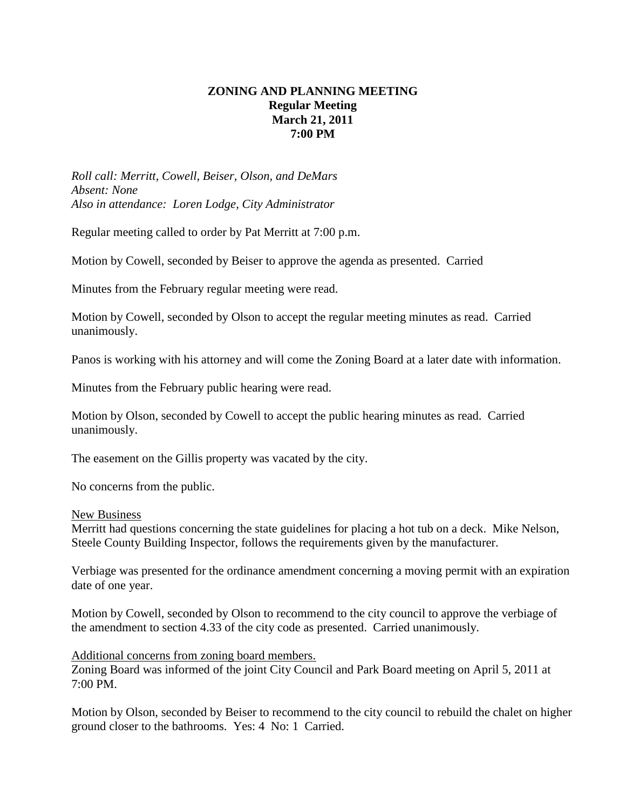# **ZONING AND PLANNING MEETING Regular Meeting March 21, 2011 7:00 PM**

*Roll call: Merritt, Cowell, Beiser, Olson, and DeMars Absent: None Also in attendance: Loren Lodge, City Administrator*

Regular meeting called to order by Pat Merritt at 7:00 p.m.

Motion by Cowell, seconded by Beiser to approve the agenda as presented. Carried

Minutes from the February regular meeting were read.

Motion by Cowell, seconded by Olson to accept the regular meeting minutes as read. Carried unanimously.

Panos is working with his attorney and will come the Zoning Board at a later date with information.

Minutes from the February public hearing were read.

Motion by Olson, seconded by Cowell to accept the public hearing minutes as read. Carried unanimously.

The easement on the Gillis property was vacated by the city.

No concerns from the public.

### New Business

Merritt had questions concerning the state guidelines for placing a hot tub on a deck. Mike Nelson, Steele County Building Inspector, follows the requirements given by the manufacturer.

Verbiage was presented for the ordinance amendment concerning a moving permit with an expiration date of one year.

Motion by Cowell, seconded by Olson to recommend to the city council to approve the verbiage of the amendment to section 4.33 of the city code as presented. Carried unanimously.

### Additional concerns from zoning board members.

Zoning Board was informed of the joint City Council and Park Board meeting on April 5, 2011 at 7:00 PM.

Motion by Olson, seconded by Beiser to recommend to the city council to rebuild the chalet on higher ground closer to the bathrooms. Yes: 4 No: 1 Carried.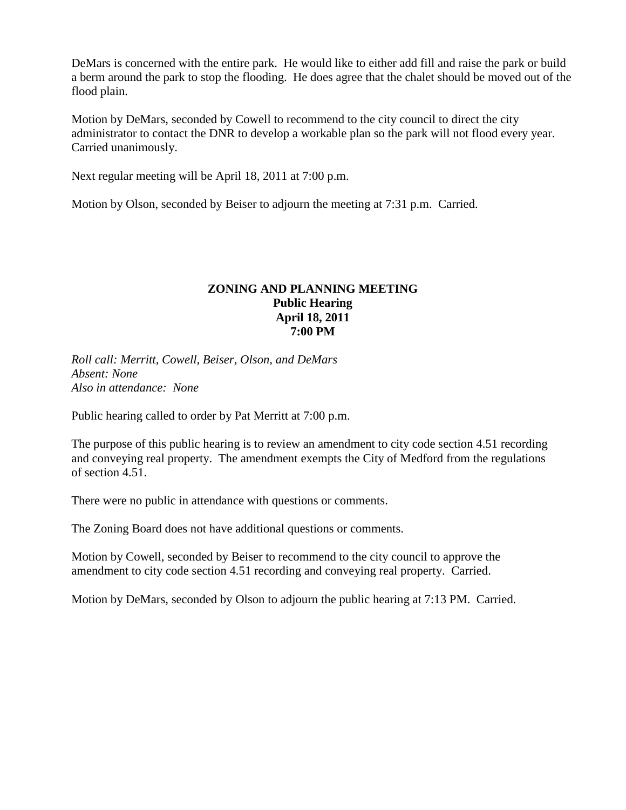DeMars is concerned with the entire park. He would like to either add fill and raise the park or build a berm around the park to stop the flooding. He does agree that the chalet should be moved out of the flood plain.

Motion by DeMars, seconded by Cowell to recommend to the city council to direct the city administrator to contact the DNR to develop a workable plan so the park will not flood every year. Carried unanimously.

Next regular meeting will be April 18, 2011 at 7:00 p.m.

Motion by Olson, seconded by Beiser to adjourn the meeting at 7:31 p.m. Carried.

# **ZONING AND PLANNING MEETING Public Hearing April 18, 2011 7:00 PM**

*Roll call: Merritt, Cowell, Beiser, Olson, and DeMars Absent: None Also in attendance: None*

Public hearing called to order by Pat Merritt at 7:00 p.m.

The purpose of this public hearing is to review an amendment to city code section 4.51 recording and conveying real property. The amendment exempts the City of Medford from the regulations of section 4.51.

There were no public in attendance with questions or comments.

The Zoning Board does not have additional questions or comments.

Motion by Cowell, seconded by Beiser to recommend to the city council to approve the amendment to city code section 4.51 recording and conveying real property. Carried.

Motion by DeMars, seconded by Olson to adjourn the public hearing at 7:13 PM. Carried.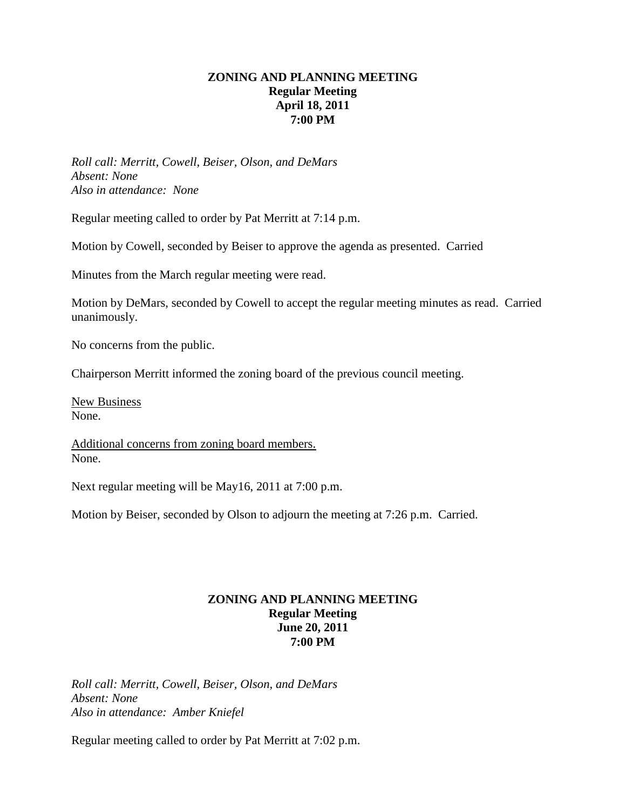# **ZONING AND PLANNING MEETING Regular Meeting April 18, 2011 7:00 PM**

*Roll call: Merritt, Cowell, Beiser, Olson, and DeMars Absent: None Also in attendance: None*

Regular meeting called to order by Pat Merritt at 7:14 p.m.

Motion by Cowell, seconded by Beiser to approve the agenda as presented. Carried

Minutes from the March regular meeting were read.

Motion by DeMars, seconded by Cowell to accept the regular meeting minutes as read. Carried unanimously.

No concerns from the public.

Chairperson Merritt informed the zoning board of the previous council meeting.

New Business None.

Additional concerns from zoning board members. None.

Next regular meeting will be May16, 2011 at 7:00 p.m.

Motion by Beiser, seconded by Olson to adjourn the meeting at 7:26 p.m. Carried.

# **ZONING AND PLANNING MEETING Regular Meeting June 20, 2011 7:00 PM**

*Roll call: Merritt, Cowell, Beiser, Olson, and DeMars Absent: None Also in attendance: Amber Kniefel*

Regular meeting called to order by Pat Merritt at 7:02 p.m.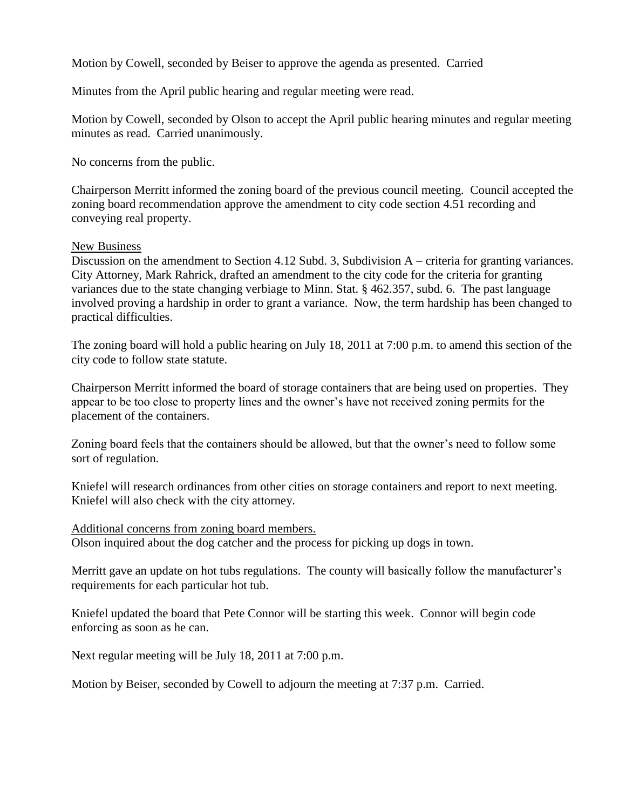Motion by Cowell, seconded by Beiser to approve the agenda as presented. Carried

Minutes from the April public hearing and regular meeting were read.

Motion by Cowell, seconded by Olson to accept the April public hearing minutes and regular meeting minutes as read. Carried unanimously.

No concerns from the public.

Chairperson Merritt informed the zoning board of the previous council meeting. Council accepted the zoning board recommendation approve the amendment to city code section 4.51 recording and conveying real property.

## New Business

Discussion on the amendment to Section 4.12 Subd. 3, Subdivision A – criteria for granting variances. City Attorney, Mark Rahrick, drafted an amendment to the city code for the criteria for granting variances due to the state changing verbiage to Minn. Stat. § 462.357, subd. 6. The past language involved proving a hardship in order to grant a variance. Now, the term hardship has been changed to practical difficulties.

The zoning board will hold a public hearing on July 18, 2011 at 7:00 p.m. to amend this section of the city code to follow state statute.

Chairperson Merritt informed the board of storage containers that are being used on properties. They appear to be too close to property lines and the owner's have not received zoning permits for the placement of the containers.

Zoning board feels that the containers should be allowed, but that the owner's need to follow some sort of regulation.

Kniefel will research ordinances from other cities on storage containers and report to next meeting. Kniefel will also check with the city attorney.

Additional concerns from zoning board members. Olson inquired about the dog catcher and the process for picking up dogs in town.

Merritt gave an update on hot tubs regulations. The county will basically follow the manufacturer's requirements for each particular hot tub.

Kniefel updated the board that Pete Connor will be starting this week. Connor will begin code enforcing as soon as he can.

Next regular meeting will be July 18, 2011 at 7:00 p.m.

Motion by Beiser, seconded by Cowell to adjourn the meeting at 7:37 p.m. Carried.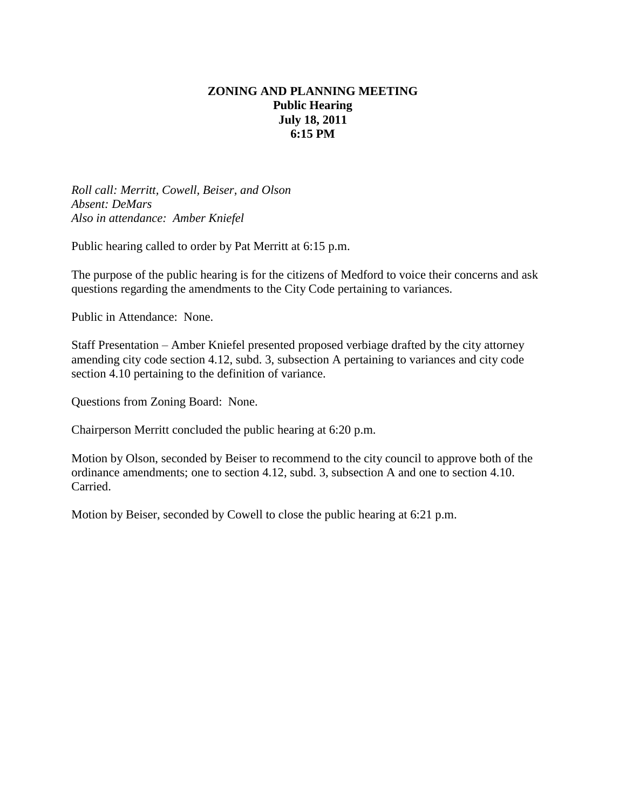# **ZONING AND PLANNING MEETING Public Hearing July 18, 2011 6:15 PM**

*Roll call: Merritt, Cowell, Beiser, and Olson Absent: DeMars Also in attendance: Amber Kniefel*

Public hearing called to order by Pat Merritt at 6:15 p.m.

The purpose of the public hearing is for the citizens of Medford to voice their concerns and ask questions regarding the amendments to the City Code pertaining to variances.

Public in Attendance: None.

Staff Presentation – Amber Kniefel presented proposed verbiage drafted by the city attorney amending city code section 4.12, subd. 3, subsection A pertaining to variances and city code section 4.10 pertaining to the definition of variance.

Questions from Zoning Board: None.

Chairperson Merritt concluded the public hearing at 6:20 p.m.

Motion by Olson, seconded by Beiser to recommend to the city council to approve both of the ordinance amendments; one to section 4.12, subd. 3, subsection A and one to section 4.10. Carried.

Motion by Beiser, seconded by Cowell to close the public hearing at 6:21 p.m.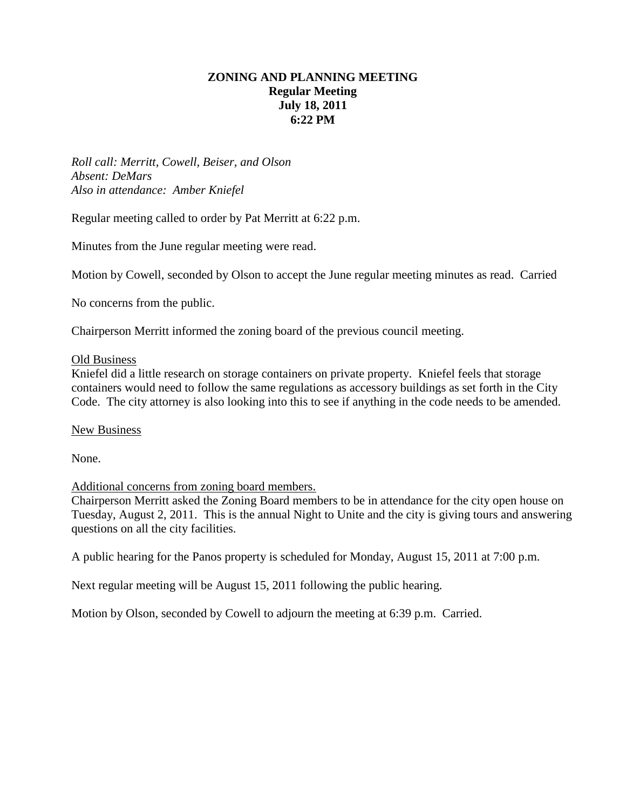# **ZONING AND PLANNING MEETING Regular Meeting July 18, 2011 6:22 PM**

*Roll call: Merritt, Cowell, Beiser, and Olson Absent: DeMars Also in attendance: Amber Kniefel*

Regular meeting called to order by Pat Merritt at 6:22 p.m.

Minutes from the June regular meeting were read.

Motion by Cowell, seconded by Olson to accept the June regular meeting minutes as read. Carried

No concerns from the public.

Chairperson Merritt informed the zoning board of the previous council meeting.

### Old Business

Kniefel did a little research on storage containers on private property. Kniefel feels that storage containers would need to follow the same regulations as accessory buildings as set forth in the City Code. The city attorney is also looking into this to see if anything in the code needs to be amended.

### New Business

None.

Additional concerns from zoning board members.

Chairperson Merritt asked the Zoning Board members to be in attendance for the city open house on Tuesday, August 2, 2011. This is the annual Night to Unite and the city is giving tours and answering questions on all the city facilities.

A public hearing for the Panos property is scheduled for Monday, August 15, 2011 at 7:00 p.m.

Next regular meeting will be August 15, 2011 following the public hearing.

Motion by Olson, seconded by Cowell to adjourn the meeting at 6:39 p.m. Carried.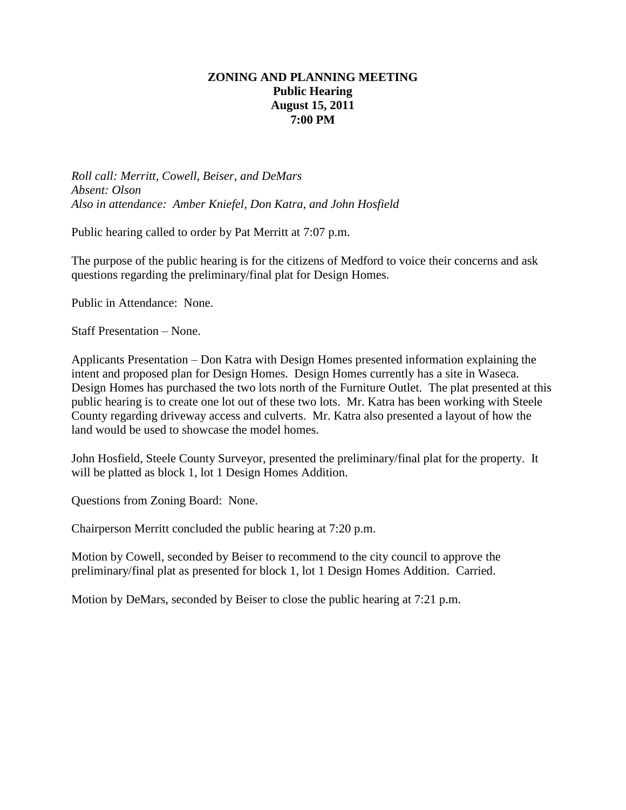# **ZONING AND PLANNING MEETING Public Hearing August 15, 2011 7:00 PM**

*Roll call: Merritt, Cowell, Beiser, and DeMars Absent: Olson Also in attendance: Amber Kniefel, Don Katra, and John Hosfield*

Public hearing called to order by Pat Merritt at 7:07 p.m.

The purpose of the public hearing is for the citizens of Medford to voice their concerns and ask questions regarding the preliminary/final plat for Design Homes.

Public in Attendance: None.

Staff Presentation – None.

Applicants Presentation – Don Katra with Design Homes presented information explaining the intent and proposed plan for Design Homes. Design Homes currently has a site in Waseca. Design Homes has purchased the two lots north of the Furniture Outlet. The plat presented at this public hearing is to create one lot out of these two lots. Mr. Katra has been working with Steele County regarding driveway access and culverts. Mr. Katra also presented a layout of how the land would be used to showcase the model homes.

John Hosfield, Steele County Surveyor, presented the preliminary/final plat for the property. It will be platted as block 1, lot 1 Design Homes Addition.

Questions from Zoning Board: None.

Chairperson Merritt concluded the public hearing at 7:20 p.m.

Motion by Cowell, seconded by Beiser to recommend to the city council to approve the preliminary/final plat as presented for block 1, lot 1 Design Homes Addition. Carried.

Motion by DeMars, seconded by Beiser to close the public hearing at 7:21 p.m.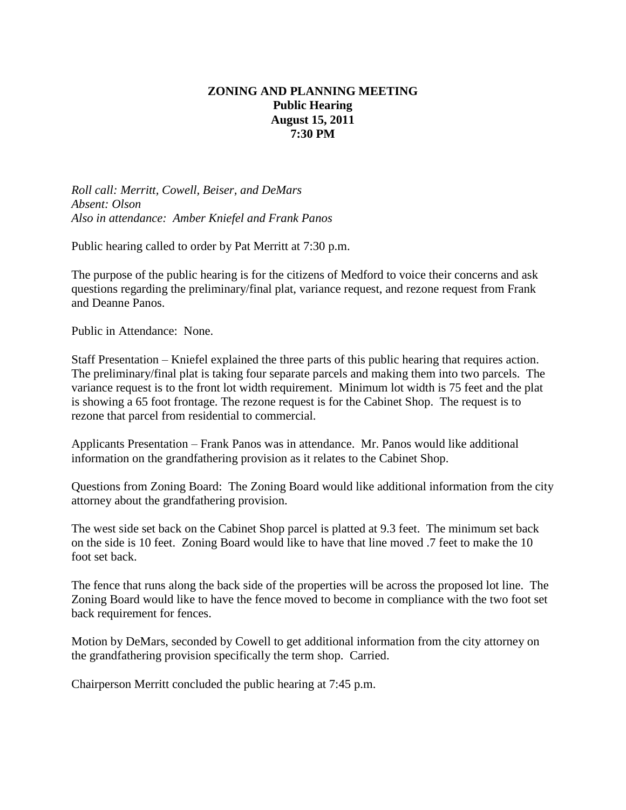# **ZONING AND PLANNING MEETING Public Hearing August 15, 2011 7:30 PM**

*Roll call: Merritt, Cowell, Beiser, and DeMars Absent: Olson Also in attendance: Amber Kniefel and Frank Panos*

Public hearing called to order by Pat Merritt at 7:30 p.m.

The purpose of the public hearing is for the citizens of Medford to voice their concerns and ask questions regarding the preliminary/final plat, variance request, and rezone request from Frank and Deanne Panos.

Public in Attendance: None.

Staff Presentation – Kniefel explained the three parts of this public hearing that requires action. The preliminary/final plat is taking four separate parcels and making them into two parcels. The variance request is to the front lot width requirement. Minimum lot width is 75 feet and the plat is showing a 65 foot frontage. The rezone request is for the Cabinet Shop. The request is to rezone that parcel from residential to commercial.

Applicants Presentation – Frank Panos was in attendance. Mr. Panos would like additional information on the grandfathering provision as it relates to the Cabinet Shop.

Questions from Zoning Board: The Zoning Board would like additional information from the city attorney about the grandfathering provision.

The west side set back on the Cabinet Shop parcel is platted at 9.3 feet. The minimum set back on the side is 10 feet. Zoning Board would like to have that line moved .7 feet to make the 10 foot set back.

The fence that runs along the back side of the properties will be across the proposed lot line. The Zoning Board would like to have the fence moved to become in compliance with the two foot set back requirement for fences.

Motion by DeMars, seconded by Cowell to get additional information from the city attorney on the grandfathering provision specifically the term shop. Carried.

Chairperson Merritt concluded the public hearing at 7:45 p.m.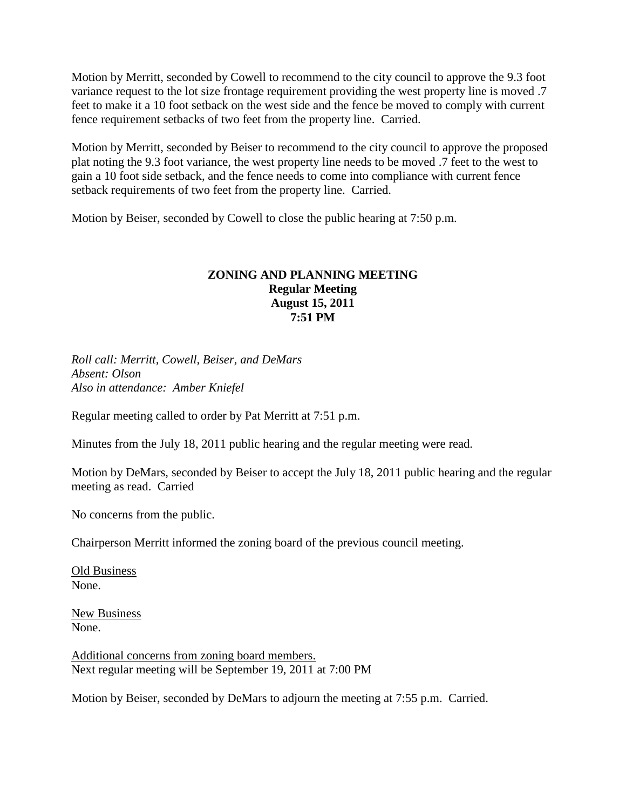Motion by Merritt, seconded by Cowell to recommend to the city council to approve the 9.3 foot variance request to the lot size frontage requirement providing the west property line is moved .7 feet to make it a 10 foot setback on the west side and the fence be moved to comply with current fence requirement setbacks of two feet from the property line. Carried.

Motion by Merritt, seconded by Beiser to recommend to the city council to approve the proposed plat noting the 9.3 foot variance, the west property line needs to be moved .7 feet to the west to gain a 10 foot side setback, and the fence needs to come into compliance with current fence setback requirements of two feet from the property line. Carried.

Motion by Beiser, seconded by Cowell to close the public hearing at 7:50 p.m.

### **ZONING AND PLANNING MEETING Regular Meeting August 15, 2011 7:51 PM**

*Roll call: Merritt, Cowell, Beiser, and DeMars Absent: Olson Also in attendance: Amber Kniefel*

Regular meeting called to order by Pat Merritt at 7:51 p.m.

Minutes from the July 18, 2011 public hearing and the regular meeting were read.

Motion by DeMars, seconded by Beiser to accept the July 18, 2011 public hearing and the regular meeting as read. Carried

No concerns from the public.

Chairperson Merritt informed the zoning board of the previous council meeting.

Old Business None.

New Business None.

Additional concerns from zoning board members. Next regular meeting will be September 19, 2011 at 7:00 PM

Motion by Beiser, seconded by DeMars to adjourn the meeting at 7:55 p.m. Carried.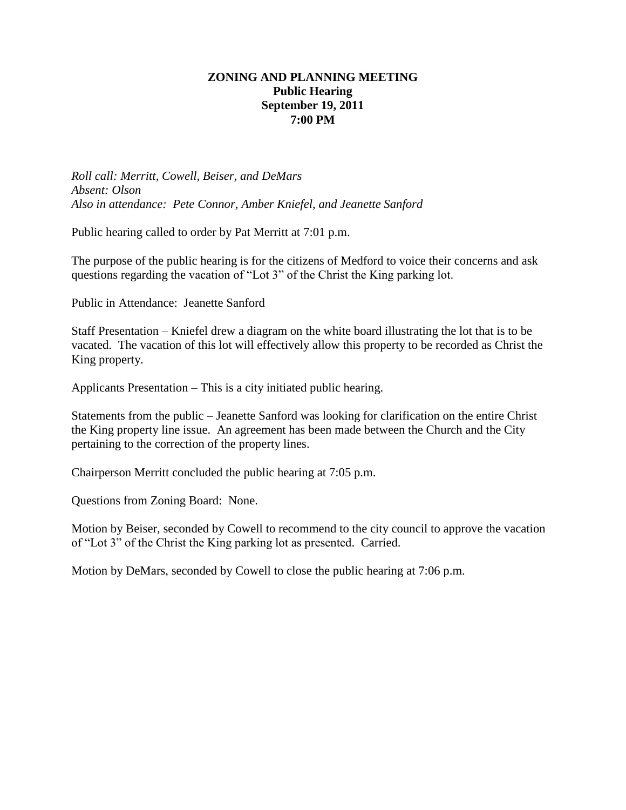## **ZONING AND PLANNING MEETING Public Hearing September 19, 2011 7:00 PM**

*Roll call: Merritt, Cowell, Beiser, and DeMars Absent: Olson Also in attendance: Pete Connor, Amber Kniefel, and Jeanette Sanford*

Public hearing called to order by Pat Merritt at 7:01 p.m.

The purpose of the public hearing is for the citizens of Medford to voice their concerns and ask questions regarding the vacation of "Lot 3" of the Christ the King parking lot.

Public in Attendance: Jeanette Sanford

Staff Presentation – Kniefel drew a diagram on the white board illustrating the lot that is to be vacated. The vacation of this lot will effectively allow this property to be recorded as Christ the King property.

Applicants Presentation – This is a city initiated public hearing.

Statements from the public – Jeanette Sanford was looking for clarification on the entire Christ the King property line issue. An agreement has been made between the Church and the City pertaining to the correction of the property lines.

Chairperson Merritt concluded the public hearing at 7:05 p.m.

Questions from Zoning Board: None.

Motion by Beiser, seconded by Cowell to recommend to the city council to approve the vacation of "Lot 3" of the Christ the King parking lot as presented. Carried.

Motion by DeMars, seconded by Cowell to close the public hearing at 7:06 p.m.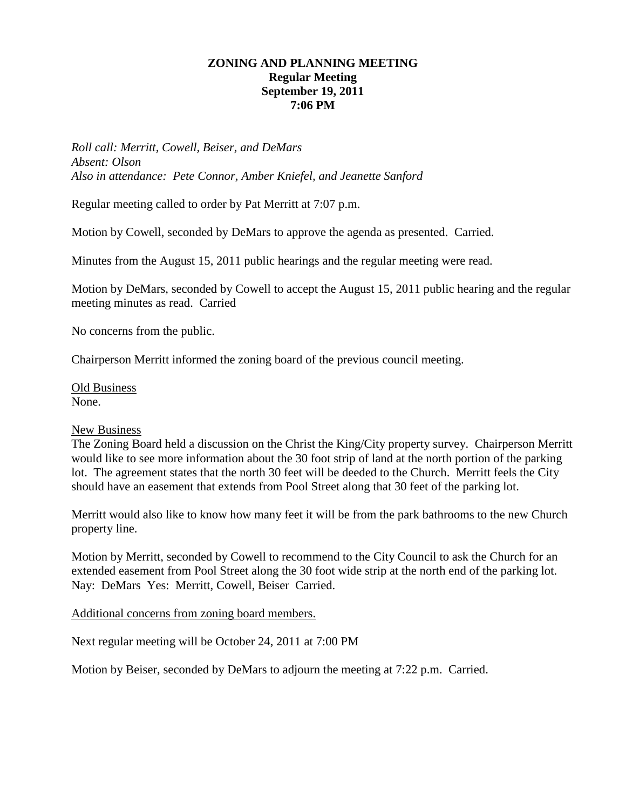## **ZONING AND PLANNING MEETING Regular Meeting September 19, 2011 7:06 PM**

*Roll call: Merritt, Cowell, Beiser, and DeMars Absent: Olson Also in attendance: Pete Connor, Amber Kniefel, and Jeanette Sanford*

Regular meeting called to order by Pat Merritt at 7:07 p.m.

Motion by Cowell, seconded by DeMars to approve the agenda as presented. Carried.

Minutes from the August 15, 2011 public hearings and the regular meeting were read.

Motion by DeMars, seconded by Cowell to accept the August 15, 2011 public hearing and the regular meeting minutes as read. Carried

No concerns from the public.

Chairperson Merritt informed the zoning board of the previous council meeting.

Old Business None.

### New Business

The Zoning Board held a discussion on the Christ the King/City property survey. Chairperson Merritt would like to see more information about the 30 foot strip of land at the north portion of the parking lot. The agreement states that the north 30 feet will be deeded to the Church. Merritt feels the City should have an easement that extends from Pool Street along that 30 feet of the parking lot.

Merritt would also like to know how many feet it will be from the park bathrooms to the new Church property line.

Motion by Merritt, seconded by Cowell to recommend to the City Council to ask the Church for an extended easement from Pool Street along the 30 foot wide strip at the north end of the parking lot. Nay: DeMars Yes: Merritt, Cowell, Beiser Carried.

Additional concerns from zoning board members.

Next regular meeting will be October 24, 2011 at 7:00 PM

Motion by Beiser, seconded by DeMars to adjourn the meeting at 7:22 p.m. Carried.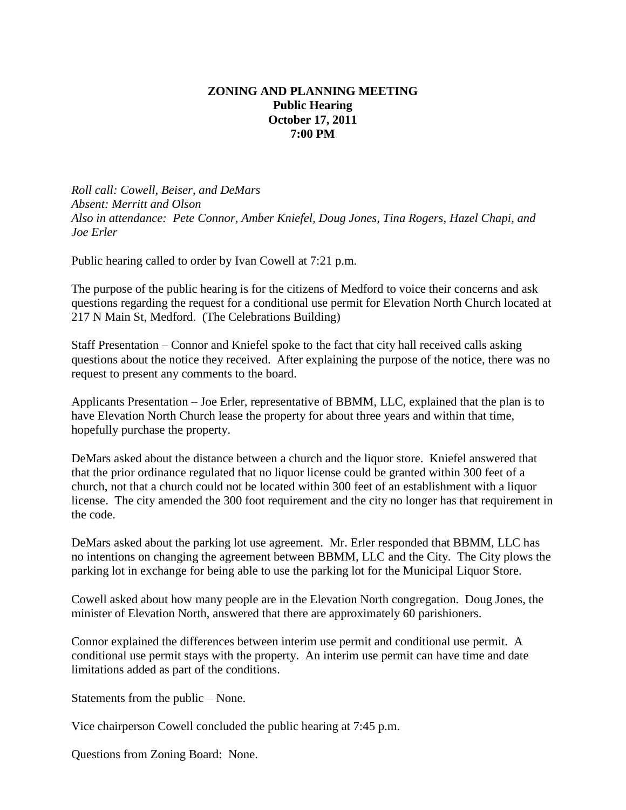# **ZONING AND PLANNING MEETING Public Hearing October 17, 2011 7:00 PM**

*Roll call: Cowell, Beiser, and DeMars Absent: Merritt and Olson Also in attendance: Pete Connor, Amber Kniefel, Doug Jones, Tina Rogers, Hazel Chapi, and Joe Erler*

Public hearing called to order by Ivan Cowell at 7:21 p.m.

The purpose of the public hearing is for the citizens of Medford to voice their concerns and ask questions regarding the request for a conditional use permit for Elevation North Church located at 217 N Main St, Medford. (The Celebrations Building)

Staff Presentation – Connor and Kniefel spoke to the fact that city hall received calls asking questions about the notice they received. After explaining the purpose of the notice, there was no request to present any comments to the board.

Applicants Presentation – Joe Erler, representative of BBMM, LLC, explained that the plan is to have Elevation North Church lease the property for about three years and within that time, hopefully purchase the property.

DeMars asked about the distance between a church and the liquor store. Kniefel answered that that the prior ordinance regulated that no liquor license could be granted within 300 feet of a church, not that a church could not be located within 300 feet of an establishment with a liquor license. The city amended the 300 foot requirement and the city no longer has that requirement in the code.

DeMars asked about the parking lot use agreement. Mr. Erler responded that BBMM, LLC has no intentions on changing the agreement between BBMM, LLC and the City. The City plows the parking lot in exchange for being able to use the parking lot for the Municipal Liquor Store.

Cowell asked about how many people are in the Elevation North congregation. Doug Jones, the minister of Elevation North, answered that there are approximately 60 parishioners.

Connor explained the differences between interim use permit and conditional use permit. A conditional use permit stays with the property. An interim use permit can have time and date limitations added as part of the conditions.

Statements from the public – None.

Vice chairperson Cowell concluded the public hearing at 7:45 p.m.

Questions from Zoning Board: None.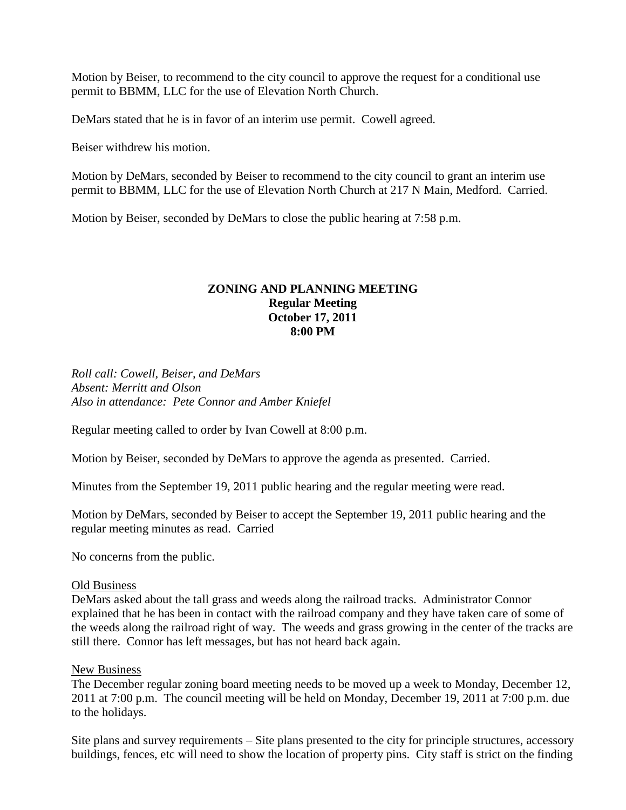Motion by Beiser, to recommend to the city council to approve the request for a conditional use permit to BBMM, LLC for the use of Elevation North Church.

DeMars stated that he is in favor of an interim use permit. Cowell agreed.

Beiser withdrew his motion.

Motion by DeMars, seconded by Beiser to recommend to the city council to grant an interim use permit to BBMM, LLC for the use of Elevation North Church at 217 N Main, Medford. Carried.

Motion by Beiser, seconded by DeMars to close the public hearing at 7:58 p.m.

## **ZONING AND PLANNING MEETING Regular Meeting October 17, 2011 8:00 PM**

*Roll call: Cowell, Beiser, and DeMars Absent: Merritt and Olson Also in attendance: Pete Connor and Amber Kniefel*

Regular meeting called to order by Ivan Cowell at 8:00 p.m.

Motion by Beiser, seconded by DeMars to approve the agenda as presented. Carried.

Minutes from the September 19, 2011 public hearing and the regular meeting were read.

Motion by DeMars, seconded by Beiser to accept the September 19, 2011 public hearing and the regular meeting minutes as read. Carried

No concerns from the public.

### Old Business

DeMars asked about the tall grass and weeds along the railroad tracks. Administrator Connor explained that he has been in contact with the railroad company and they have taken care of some of the weeds along the railroad right of way. The weeds and grass growing in the center of the tracks are still there. Connor has left messages, but has not heard back again.

### New Business

The December regular zoning board meeting needs to be moved up a week to Monday, December 12, 2011 at 7:00 p.m. The council meeting will be held on Monday, December 19, 2011 at 7:00 p.m. due to the holidays.

Site plans and survey requirements – Site plans presented to the city for principle structures, accessory buildings, fences, etc will need to show the location of property pins. City staff is strict on the finding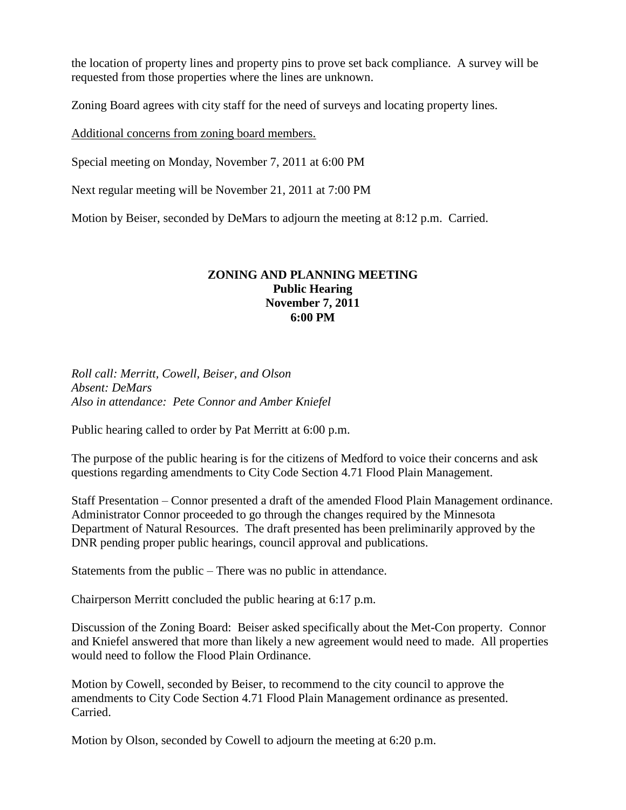the location of property lines and property pins to prove set back compliance. A survey will be requested from those properties where the lines are unknown.

Zoning Board agrees with city staff for the need of surveys and locating property lines.

Additional concerns from zoning board members.

Special meeting on Monday, November 7, 2011 at 6:00 PM

Next regular meeting will be November 21, 2011 at 7:00 PM

Motion by Beiser, seconded by DeMars to adjourn the meeting at 8:12 p.m. Carried.

## **ZONING AND PLANNING MEETING Public Hearing November 7, 2011 6:00 PM**

*Roll call: Merritt, Cowell, Beiser, and Olson Absent: DeMars Also in attendance: Pete Connor and Amber Kniefel*

Public hearing called to order by Pat Merritt at 6:00 p.m.

The purpose of the public hearing is for the citizens of Medford to voice their concerns and ask questions regarding amendments to City Code Section 4.71 Flood Plain Management.

Staff Presentation – Connor presented a draft of the amended Flood Plain Management ordinance. Administrator Connor proceeded to go through the changes required by the Minnesota Department of Natural Resources. The draft presented has been preliminarily approved by the DNR pending proper public hearings, council approval and publications.

Statements from the public – There was no public in attendance.

Chairperson Merritt concluded the public hearing at 6:17 p.m.

Discussion of the Zoning Board: Beiser asked specifically about the Met-Con property. Connor and Kniefel answered that more than likely a new agreement would need to made. All properties would need to follow the Flood Plain Ordinance.

Motion by Cowell, seconded by Beiser, to recommend to the city council to approve the amendments to City Code Section 4.71 Flood Plain Management ordinance as presented. Carried.

Motion by Olson, seconded by Cowell to adjourn the meeting at 6:20 p.m.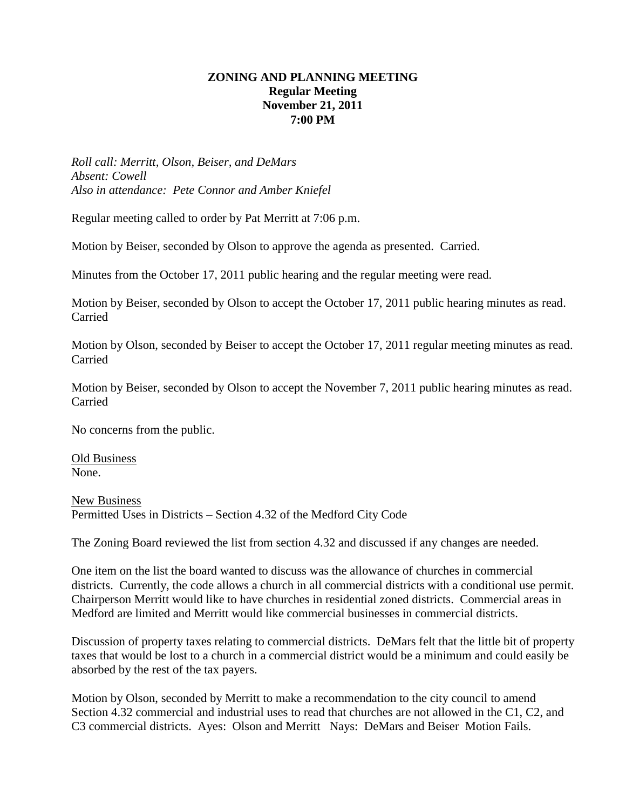# **ZONING AND PLANNING MEETING Regular Meeting November 21, 2011 7:00 PM**

*Roll call: Merritt, Olson, Beiser, and DeMars Absent: Cowell Also in attendance: Pete Connor and Amber Kniefel*

Regular meeting called to order by Pat Merritt at 7:06 p.m.

Motion by Beiser, seconded by Olson to approve the agenda as presented. Carried.

Minutes from the October 17, 2011 public hearing and the regular meeting were read.

Motion by Beiser, seconded by Olson to accept the October 17, 2011 public hearing minutes as read. Carried

Motion by Olson, seconded by Beiser to accept the October 17, 2011 regular meeting minutes as read. Carried

Motion by Beiser, seconded by Olson to accept the November 7, 2011 public hearing minutes as read. Carried

No concerns from the public.

Old Business None.

New Business Permitted Uses in Districts – Section 4.32 of the Medford City Code

The Zoning Board reviewed the list from section 4.32 and discussed if any changes are needed.

One item on the list the board wanted to discuss was the allowance of churches in commercial districts. Currently, the code allows a church in all commercial districts with a conditional use permit. Chairperson Merritt would like to have churches in residential zoned districts. Commercial areas in Medford are limited and Merritt would like commercial businesses in commercial districts.

Discussion of property taxes relating to commercial districts. DeMars felt that the little bit of property taxes that would be lost to a church in a commercial district would be a minimum and could easily be absorbed by the rest of the tax payers.

Motion by Olson, seconded by Merritt to make a recommendation to the city council to amend Section 4.32 commercial and industrial uses to read that churches are not allowed in the C1, C2, and C3 commercial districts. Ayes: Olson and Merritt Nays: DeMars and Beiser Motion Fails.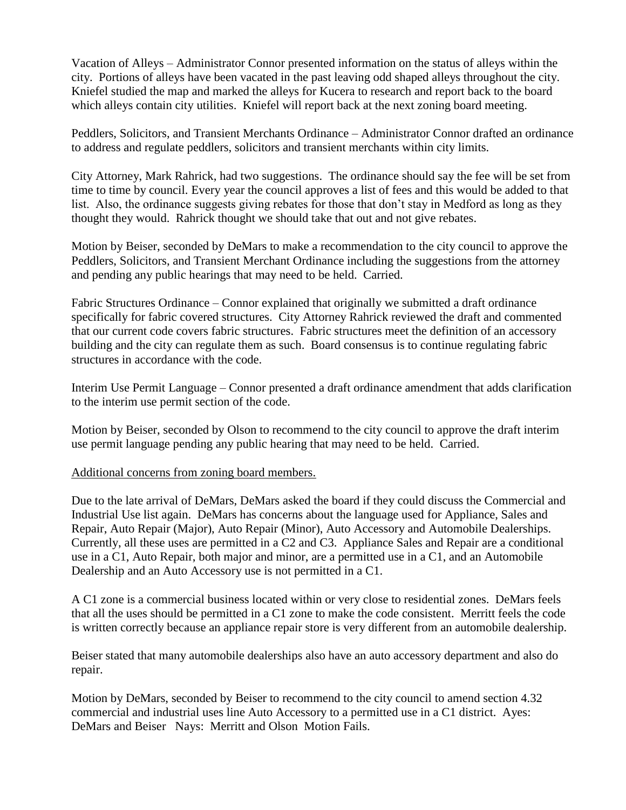Vacation of Alleys – Administrator Connor presented information on the status of alleys within the city. Portions of alleys have been vacated in the past leaving odd shaped alleys throughout the city. Kniefel studied the map and marked the alleys for Kucera to research and report back to the board which alleys contain city utilities. Kniefel will report back at the next zoning board meeting.

Peddlers, Solicitors, and Transient Merchants Ordinance – Administrator Connor drafted an ordinance to address and regulate peddlers, solicitors and transient merchants within city limits.

City Attorney, Mark Rahrick, had two suggestions. The ordinance should say the fee will be set from time to time by council. Every year the council approves a list of fees and this would be added to that list. Also, the ordinance suggests giving rebates for those that don't stay in Medford as long as they thought they would. Rahrick thought we should take that out and not give rebates.

Motion by Beiser, seconded by DeMars to make a recommendation to the city council to approve the Peddlers, Solicitors, and Transient Merchant Ordinance including the suggestions from the attorney and pending any public hearings that may need to be held. Carried.

Fabric Structures Ordinance – Connor explained that originally we submitted a draft ordinance specifically for fabric covered structures. City Attorney Rahrick reviewed the draft and commented that our current code covers fabric structures. Fabric structures meet the definition of an accessory building and the city can regulate them as such. Board consensus is to continue regulating fabric structures in accordance with the code.

Interim Use Permit Language – Connor presented a draft ordinance amendment that adds clarification to the interim use permit section of the code.

Motion by Beiser, seconded by Olson to recommend to the city council to approve the draft interim use permit language pending any public hearing that may need to be held. Carried.

## Additional concerns from zoning board members.

Due to the late arrival of DeMars, DeMars asked the board if they could discuss the Commercial and Industrial Use list again. DeMars has concerns about the language used for Appliance, Sales and Repair, Auto Repair (Major), Auto Repair (Minor), Auto Accessory and Automobile Dealerships. Currently, all these uses are permitted in a C2 and C3. Appliance Sales and Repair are a conditional use in a C1, Auto Repair, both major and minor, are a permitted use in a C1, and an Automobile Dealership and an Auto Accessory use is not permitted in a C1.

A C1 zone is a commercial business located within or very close to residential zones. DeMars feels that all the uses should be permitted in a C1 zone to make the code consistent. Merritt feels the code is written correctly because an appliance repair store is very different from an automobile dealership.

Beiser stated that many automobile dealerships also have an auto accessory department and also do repair.

Motion by DeMars, seconded by Beiser to recommend to the city council to amend section 4.32 commercial and industrial uses line Auto Accessory to a permitted use in a C1 district. Ayes: DeMars and Beiser Nays: Merritt and Olson Motion Fails.